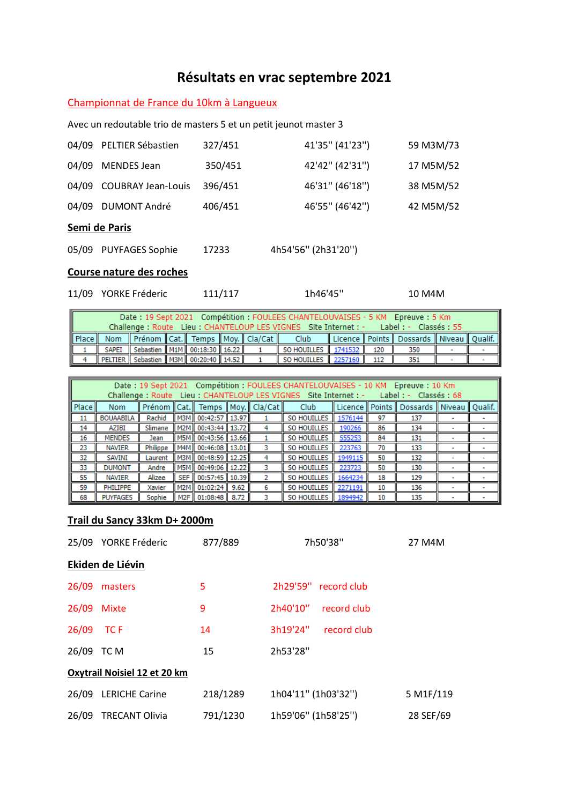# **Résultats en vrac septembre 2021**

### Championnat de France du 10km à Langueux

Avec un redoutable trio de masters 5 et un petit jeunot master 3

|       | 04/09 PELTIER Sébastien   | 327/451 | 41'35" (41'23")     | 59 M3M/73 |
|-------|---------------------------|---------|---------------------|-----------|
| 04/09 | <b>MENDES Jean</b>        | 350/451 | 42'42" (42'31")     | 17 M5M/52 |
| 04/09 | <b>COUBRAY Jean-Louis</b> | 396/451 | 46'31" (46'18")     | 38 M5M/52 |
| 04/09 | <b>DUMONT André</b>       | 406/451 | 46'55" (46'42")     | 42 M5M/52 |
|       | Semi de Paris             |         |                     |           |
| 05/09 | <b>PUYFAGES Sophie</b>    | 17233   | 4h54'56" (2h31'20") |           |

#### **Course nature des roches**

|  | 11/09 YORKE Fréderic | 111/117 | 1h46'45" | 10 M4M |
|--|----------------------|---------|----------|--------|
|--|----------------------|---------|----------|--------|

| Date: 19 Sept 2021 Compétition: FOULEES CHANTELOUVAISES - 5 KM Epreuve: 5 Km<br>Challenge : Route Lieu : CHANTELOUP LES VIGNES Site Internet : - Label : - Classés : 55 |  |                                                      |  |  |  |  |                             |  |  |                                                    |  |
|-------------------------------------------------------------------------------------------------------------------------------------------------------------------------|--|------------------------------------------------------|--|--|--|--|-----------------------------|--|--|----------------------------------------------------|--|
|                                                                                                                                                                         |  | Place   Nom   Prénom   Cat.   Temps   Moy.   Cla/Cat |  |  |  |  | Club                        |  |  | Licence    Points    Dossards    Niveau    Qualif. |  |
|                                                                                                                                                                         |  | SAPEI Sebastien M1M 00:18:30 16.22                   |  |  |  |  | SO HOUILLES 1741532 120     |  |  | 350                                                |  |
|                                                                                                                                                                         |  | PELTIER   Sebastien   M3M   00:20:40   14.52         |  |  |  |  | SO HOUILLES   2257160   112 |  |  | 351                                                |  |

| Date: 19 Sept 2021 Compétition : FOULEES CHANTELOUVAISES - 10 KM Epreuve : 10 Km<br>Lieu: CHANTELOUP LES VIGNES Site Internet : -<br>$Label : -$<br>Classés: 68<br>Challenge: Route |                                                                                         |          |                  |                        |      |   |                    |          |        |         |  |  |
|-------------------------------------------------------------------------------------------------------------------------------------------------------------------------------------|-----------------------------------------------------------------------------------------|----------|------------------|------------------------|------|---|--------------------|----------|--------|---------|--|--|
| Place II                                                                                                                                                                            | Temps    Moy.    Cla/Cat   <br>Prénom<br>Licence   Points<br>Club<br>Cat.<br><b>Nom</b> |          |                  |                        |      |   |                    | Dossards | Niveau | Qualif. |  |  |
| 11                                                                                                                                                                                  | <b>BOUAABILA</b>                                                                        | Rachid   | M3M              | 00:42:57   13.97       |      |   | <b>SO HOUILLES</b> | 1576144  | 97     | 137     |  |  |
| 14                                                                                                                                                                                  | AZIBI                                                                                   | Slimane  | M <sub>2</sub> M | 00:43:44   13.72       |      |   | <b>SO HOUILLES</b> | 190266   | 86     | 134     |  |  |
| 16                                                                                                                                                                                  | <b>MENDES</b>                                                                           | Jean     | M5M              | 00:43:56   13.66       |      |   | SO HOUILLES        | 555253   | 84     | 131     |  |  |
| 23                                                                                                                                                                                  | <b>NAVIER</b>                                                                           | Philippe |                  | M4M   00:46:08   13.01 |      | 3 | <b>SO HOUILLES</b> | 223763   | 70     | 133     |  |  |
| 32                                                                                                                                                                                  | SAVINI                                                                                  | Laurent  | M3M              | 00:48:59    12.25      |      |   | <b>SO HOUILLES</b> | 1949115  | 50     | 132     |  |  |
| 33                                                                                                                                                                                  | <b>DUMONT</b>                                                                           | Andre    | M5M              | $00:49:06$ 12.22       |      | 3 | SO HOUILLES        | 223723   | 50     | 130     |  |  |
| 55                                                                                                                                                                                  | <b>NAVIER</b>                                                                           | Alizee   | <b>SEF</b>       | 00:57:45   10.39       |      |   | SO HOUILLES        | 1664234  | 18     | 129     |  |  |
| 59                                                                                                                                                                                  | PHILIPPE                                                                                | Xavier   | M <sub>2</sub> M | 01:02:24               | 9.62 | 6 | SO HOUILLES        | 2271191  | 10     | 136     |  |  |
| 68                                                                                                                                                                                  | <b>PUYFAGES</b>                                                                         | Sophie   | M <sub>2F</sub>  | $01:08:48$ 8.72        |      |   | <b>SO HOUILLES</b> | 1894942  | 10     | 135     |  |  |

#### **Trail du Sancy 33km D+ 2000m**

|            | 25/09 YORKE Fréderic         | 877/889  | 7h50'38"                | 27 M4M    |
|------------|------------------------------|----------|-------------------------|-----------|
|            | Ekiden de Liévin             |          |                         |           |
| 26/09      | masters                      | 5        | 2h29'59"<br>record club |           |
| 26/09      | <b>Mixte</b>                 | 9        | 2h40'10"<br>record club |           |
| 26/09      | TC F                         | 14       | 3h19'24"<br>record club |           |
| 26/09 TC M |                              | 15       | 2h53'28"                |           |
|            | Oxytrail Noisiel 12 et 20 km |          |                         |           |
|            | 26/09 LERICHE Carine         | 218/1289 | 1h04'11" (1h03'32")     | 5 M1F/119 |
| 26/09      | <b>TRECANT Olivia</b>        | 791/1230 | 1h59'06" (1h58'25")     | 28 SEF/69 |